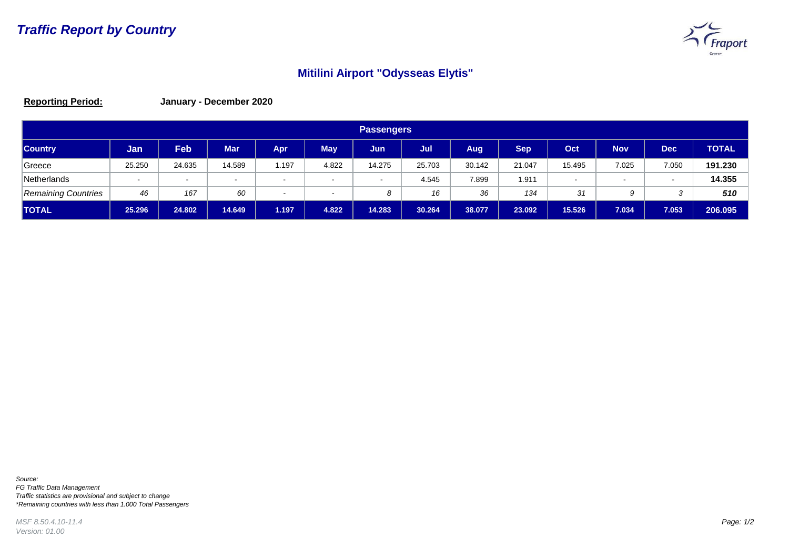

## **Mitilini Airport "Odysseas Elytis"**

**Reporting Period: January - December 2020**

| <b>Passengers</b>          |        |            |            |                          |            |        |        |        |            |                          |        |            |              |
|----------------------------|--------|------------|------------|--------------------------|------------|--------|--------|--------|------------|--------------------------|--------|------------|--------------|
| <b>Country</b>             | Jan    | <b>Feb</b> | <b>Mar</b> | Apr                      | <b>May</b> | Jun    | Jul    | Aug    | <b>Sep</b> | Oct                      | Nov    | <b>Dec</b> | <b>TOTAL</b> |
| Greece                     | 25.250 | 24.635     | 14.589     | 1.197                    | 4.822      | 14.275 | 25.703 | 30.142 | 21.047     | 15.495                   | 7.025  | 7.050      | 191.230      |
| Netherlands                | $\sim$ | $\sim$     | $\sim$     | $\sim$                   | $\sim$     | $\sim$ | 4.545  | 7.899  | 1.911      | $\overline{\phantom{0}}$ | $\sim$ | $\sim$     | 14.355       |
| <b>Remaining Countries</b> | 46     | 167        | 60         | $\overline{\phantom{a}}$ |            | 8      | 16     | 36     | 134        | 31                       | 9      |            | 510          |
| <b>ITOTAL</b>              | 25.296 | 24.802     | 14.649     | 1.197                    | 4.822      | 14.283 | 30.264 | 38.077 | 23.092     | 15.526                   | 7.034  | 7.053      | 206.095      |

*Source: FG Traffic Data Management Traffic statistics are provisional and subject to change \*Remaining countries with less than 1.000 Total Passengers*